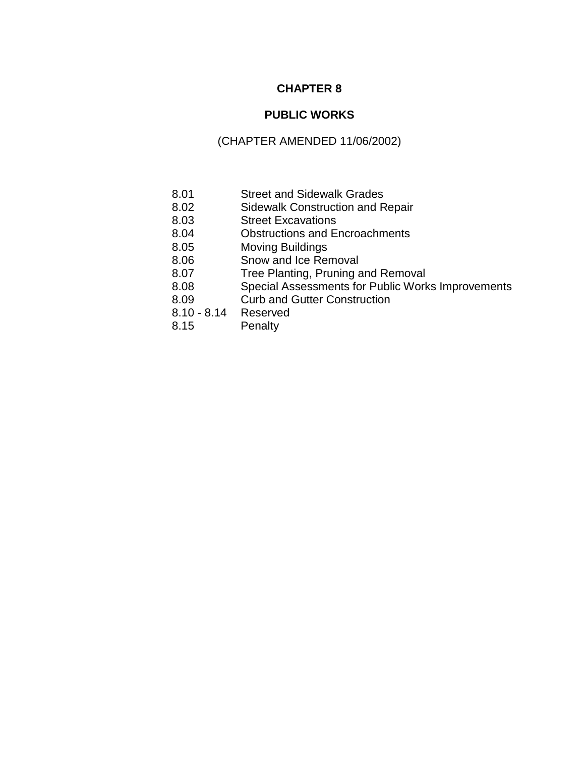# **CHAPTER 8**

# **PUBLIC WORKS**

# (CHAPTER AMENDED 11/06/2002)

- 8.01 Street and Sidewalk Grades
- 8.02 Sidewalk Construction and Repair
- 8.03 Street Excavations
- 8.04 Obstructions and Encroachments
- 8.05 Moving Buildings
- 8.06 Snow and Ice Removal
- 8.07 Tree Planting, Pruning and Removal
- 8.08 Special Assessments for Public Works Improvements
- 8.09 Curb and Gutter Construction
- 8.10 8.14 Reserved
- 8.15 Penalty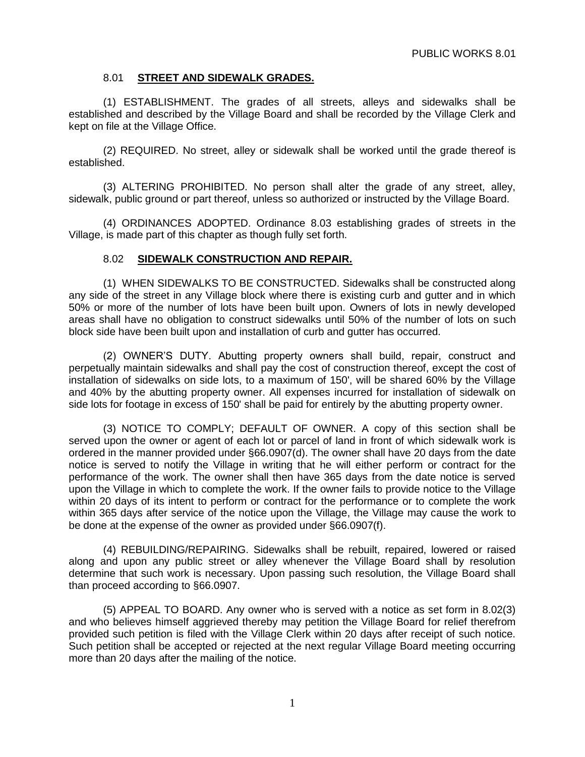# 8.01 **STREET AND SIDEWALK GRADES.**

(1) ESTABLISHMENT. The grades of all streets, alleys and sidewalks shall be established and described by the Village Board and shall be recorded by the Village Clerk and kept on file at the Village Office.

(2) REQUIRED. No street, alley or sidewalk shall be worked until the grade thereof is established.

(3) ALTERING PROHIBITED. No person shall alter the grade of any street, alley, sidewalk, public ground or part thereof, unless so authorized or instructed by the Village Board.

(4) ORDINANCES ADOPTED. Ordinance 8.03 establishing grades of streets in the Village, is made part of this chapter as though fully set forth.

# 8.02 **SIDEWALK CONSTRUCTION AND REPAIR.**

(1) WHEN SIDEWALKS TO BE CONSTRUCTED. Sidewalks shall be constructed along any side of the street in any Village block where there is existing curb and gutter and in which 50% or more of the number of lots have been built upon. Owners of lots in newly developed areas shall have no obligation to construct sidewalks until 50% of the number of lots on such block side have been built upon and installation of curb and gutter has occurred.

(2) OWNER'S DUTY. Abutting property owners shall build, repair, construct and perpetually maintain sidewalks and shall pay the cost of construction thereof, except the cost of installation of sidewalks on side lots, to a maximum of 150', will be shared 60% by the Village and 40% by the abutting property owner. All expenses incurred for installation of sidewalk on side lots for footage in excess of 150' shall be paid for entirely by the abutting property owner.

(3) NOTICE TO COMPLY; DEFAULT OF OWNER. A copy of this section shall be served upon the owner or agent of each lot or parcel of land in front of which sidewalk work is ordered in the manner provided under §66.0907(d). The owner shall have 20 days from the date notice is served to notify the Village in writing that he will either perform or contract for the performance of the work. The owner shall then have 365 days from the date notice is served upon the Village in which to complete the work. If the owner fails to provide notice to the Village within 20 days of its intent to perform or contract for the performance or to complete the work within 365 days after service of the notice upon the Village, the Village may cause the work to be done at the expense of the owner as provided under §66.0907(f).

(4) REBUILDING/REPAIRING. Sidewalks shall be rebuilt, repaired, lowered or raised along and upon any public street or alley whenever the Village Board shall by resolution determine that such work is necessary. Upon passing such resolution, the Village Board shall than proceed according to §66.0907.

(5) APPEAL TO BOARD. Any owner who is served with a notice as set form in 8.02(3) and who believes himself aggrieved thereby may petition the Village Board for relief therefrom provided such petition is filed with the Village Clerk within 20 days after receipt of such notice. Such petition shall be accepted or rejected at the next regular Village Board meeting occurring more than 20 days after the mailing of the notice.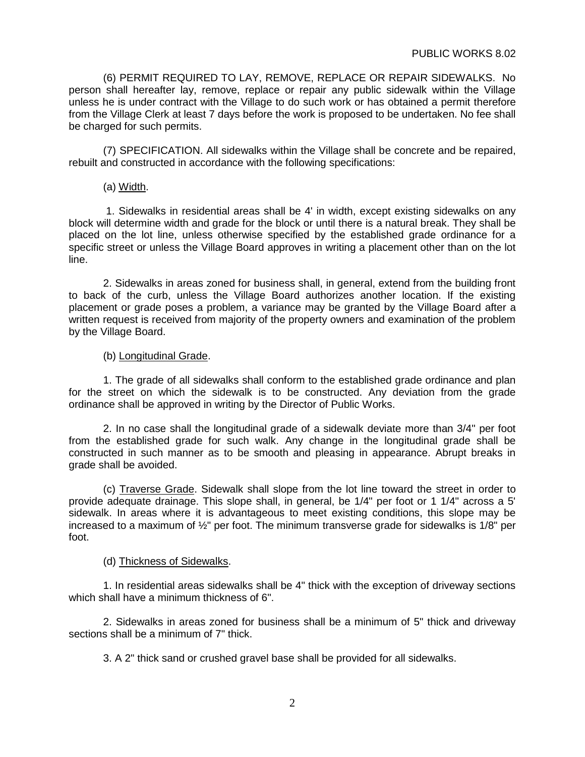(6) PERMIT REQUIRED TO LAY, REMOVE, REPLACE OR REPAIR SIDEWALKS. No person shall hereafter lay, remove, replace or repair any public sidewalk within the Village unless he is under contract with the Village to do such work or has obtained a permit therefore from the Village Clerk at least 7 days before the work is proposed to be undertaken. No fee shall be charged for such permits.

(7) SPECIFICATION. All sidewalks within the Village shall be concrete and be repaired, rebuilt and constructed in accordance with the following specifications:

(a) Width.

1. Sidewalks in residential areas shall be 4' in width, except existing sidewalks on any block will determine width and grade for the block or until there is a natural break. They shall be placed on the lot line, unless otherwise specified by the established grade ordinance for a specific street or unless the Village Board approves in writing a placement other than on the lot line.

2. Sidewalks in areas zoned for business shall, in general, extend from the building front to back of the curb, unless the Village Board authorizes another location. If the existing placement or grade poses a problem, a variance may be granted by the Village Board after a written request is received from majority of the property owners and examination of the problem by the Village Board.

### (b) Longitudinal Grade.

1. The grade of all sidewalks shall conform to the established grade ordinance and plan for the street on which the sidewalk is to be constructed. Any deviation from the grade ordinance shall be approved in writing by the Director of Public Works.

2. In no case shall the longitudinal grade of a sidewalk deviate more than 3/4" per foot from the established grade for such walk. Any change in the longitudinal grade shall be constructed in such manner as to be smooth and pleasing in appearance. Abrupt breaks in grade shall be avoided.

(c) Traverse Grade. Sidewalk shall slope from the lot line toward the street in order to provide adequate drainage. This slope shall, in general, be 1/4" per foot or 1 1/4" across a 5' sidewalk. In areas where it is advantageous to meet existing conditions, this slope may be increased to a maximum of  $\frac{1}{2}$ " per foot. The minimum transverse grade for sidewalks is 1/8" per foot.

### (d) Thickness of Sidewalks.

1. In residential areas sidewalks shall be 4" thick with the exception of driveway sections which shall have a minimum thickness of 6".

2. Sidewalks in areas zoned for business shall be a minimum of 5" thick and driveway sections shall be a minimum of 7" thick.

3. A 2" thick sand or crushed gravel base shall be provided for all sidewalks.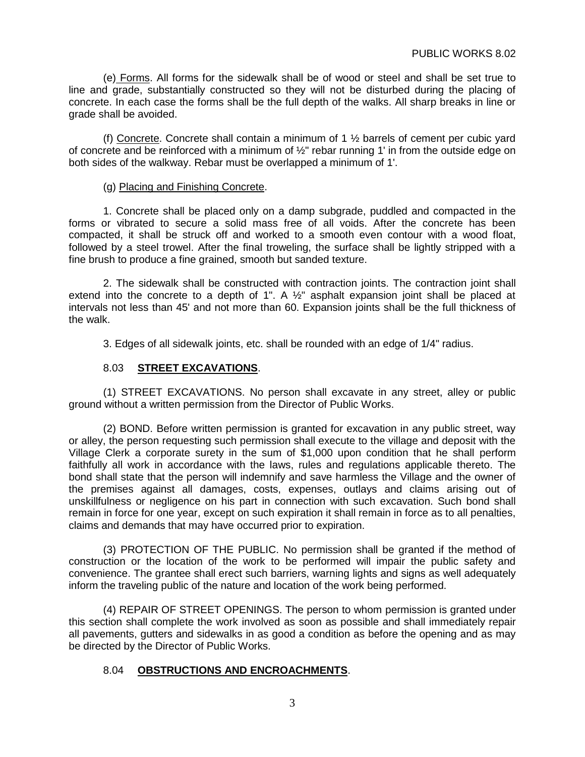(e) Forms. All forms for the sidewalk shall be of wood or steel and shall be set true to line and grade, substantially constructed so they will not be disturbed during the placing of concrete. In each case the forms shall be the full depth of the walks. All sharp breaks in line or grade shall be avoided.

(f) Concrete. Concrete shall contain a minimum of 1 ½ barrels of cement per cubic yard of concrete and be reinforced with a minimum of  $\frac{1}{2}$ " rebar running 1' in from the outside edge on both sides of the walkway. Rebar must be overlapped a minimum of 1'.

#### (g) Placing and Finishing Concrete.

1. Concrete shall be placed only on a damp subgrade, puddled and compacted in the forms or vibrated to secure a solid mass free of all voids. After the concrete has been compacted, it shall be struck off and worked to a smooth even contour with a wood float, followed by a steel trowel. After the final troweling, the surface shall be lightly stripped with a fine brush to produce a fine grained, smooth but sanded texture.

2. The sidewalk shall be constructed with contraction joints. The contraction joint shall extend into the concrete to a depth of 1". A  $\frac{1}{2}$ " asphalt expansion joint shall be placed at intervals not less than 45' and not more than 60. Expansion joints shall be the full thickness of the walk.

3. Edges of all sidewalk joints, etc. shall be rounded with an edge of 1/4" radius.

# 8.03 **STREET EXCAVATIONS**.

(1) STREET EXCAVATIONS. No person shall excavate in any street, alley or public ground without a written permission from the Director of Public Works.

(2) BOND. Before written permission is granted for excavation in any public street, way or alley, the person requesting such permission shall execute to the village and deposit with the Village Clerk a corporate surety in the sum of \$1,000 upon condition that he shall perform faithfully all work in accordance with the laws, rules and regulations applicable thereto. The bond shall state that the person will indemnify and save harmless the Village and the owner of the premises against all damages, costs, expenses, outlays and claims arising out of unskillfulness or negligence on his part in connection with such excavation. Such bond shall remain in force for one year, except on such expiration it shall remain in force as to all penalties, claims and demands that may have occurred prior to expiration.

(3) PROTECTION OF THE PUBLIC. No permission shall be granted if the method of construction or the location of the work to be performed will impair the public safety and convenience. The grantee shall erect such barriers, warning lights and signs as well adequately inform the traveling public of the nature and location of the work being performed.

(4) REPAIR OF STREET OPENINGS. The person to whom permission is granted under this section shall complete the work involved as soon as possible and shall immediately repair all pavements, gutters and sidewalks in as good a condition as before the opening and as may be directed by the Director of Public Works.

### 8.04 **OBSTRUCTIONS AND ENCROACHMENTS**.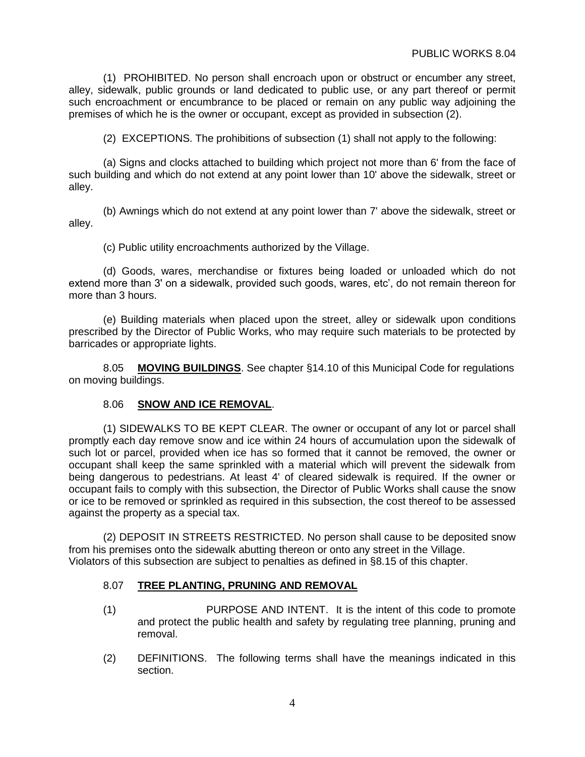(1) PROHIBITED. No person shall encroach upon or obstruct or encumber any street, alley, sidewalk, public grounds or land dedicated to public use, or any part thereof or permit such encroachment or encumbrance to be placed or remain on any public way adjoining the premises of which he is the owner or occupant, except as provided in subsection (2).

(2) EXCEPTIONS. The prohibitions of subsection (1) shall not apply to the following:

(a) Signs and clocks attached to building which project not more than 6' from the face of such building and which do not extend at any point lower than 10' above the sidewalk, street or alley.

(b) Awnings which do not extend at any point lower than 7' above the sidewalk, street or alley.

(c) Public utility encroachments authorized by the Village.

(d) Goods, wares, merchandise or fixtures being loaded or unloaded which do not extend more than 3' on a sidewalk, provided such goods, wares, etc', do not remain thereon for more than 3 hours.

(e) Building materials when placed upon the street, alley or sidewalk upon conditions prescribed by the Director of Public Works, who may require such materials to be protected by barricades or appropriate lights.

8.05 **MOVING BUILDINGS**. See chapter §14.10 of this Municipal Code for regulations on moving buildings.

### 8.06 **SNOW AND ICE REMOVAL**.

(1) SIDEWALKS TO BE KEPT CLEAR. The owner or occupant of any lot or parcel shall promptly each day remove snow and ice within 24 hours of accumulation upon the sidewalk of such lot or parcel, provided when ice has so formed that it cannot be removed, the owner or occupant shall keep the same sprinkled with a material which will prevent the sidewalk from being dangerous to pedestrians. At least 4' of cleared sidewalk is required. If the owner or occupant fails to comply with this subsection, the Director of Public Works shall cause the snow or ice to be removed or sprinkled as required in this subsection, the cost thereof to be assessed against the property as a special tax.

(2) DEPOSIT IN STREETS RESTRICTED. No person shall cause to be deposited snow from his premises onto the sidewalk abutting thereon or onto any street in the Village. Violators of this subsection are subject to penalties as defined in §8.15 of this chapter.

### 8.07 **TREE PLANTING, PRUNING AND REMOVAL**

- (1) PURPOSE AND INTENT. It is the intent of this code to promote and protect the public health and safety by regulating tree planning, pruning and removal.
- (2) DEFINITIONS. The following terms shall have the meanings indicated in this section.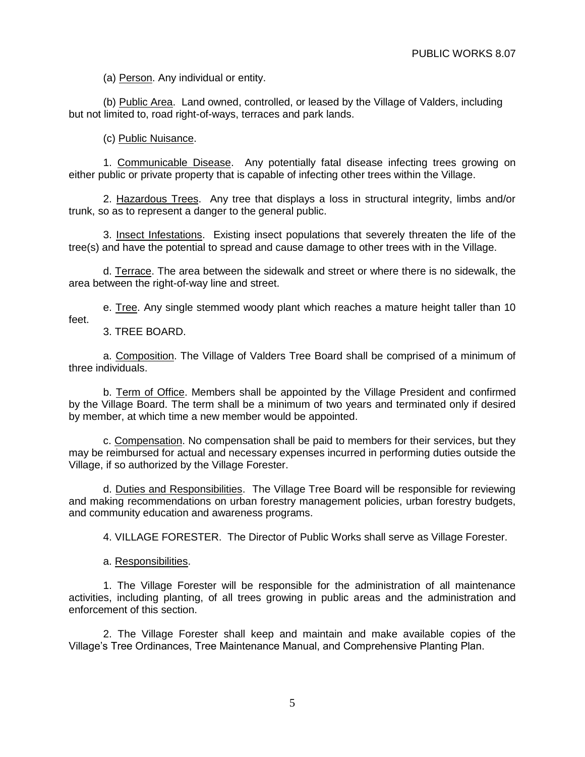(a) Person. Any individual or entity.

(b) Public Area. Land owned, controlled, or leased by the Village of Valders, including but not limited to, road right-of-ways, terraces and park lands.

(c) Public Nuisance.

1. Communicable Disease. Any potentially fatal disease infecting trees growing on either public or private property that is capable of infecting other trees within the Village.

2. Hazardous Trees. Any tree that displays a loss in structural integrity, limbs and/or trunk, so as to represent a danger to the general public.

3. Insect Infestations. Existing insect populations that severely threaten the life of the tree(s) and have the potential to spread and cause damage to other trees with in the Village.

d. Terrace. The area between the sidewalk and street or where there is no sidewalk, the area between the right-of-way line and street.

e. Tree. Any single stemmed woody plant which reaches a mature height taller than 10 feet.

3. TREE BOARD.

a. Composition. The Village of Valders Tree Board shall be comprised of a minimum of three individuals.

b. Term of Office. Members shall be appointed by the Village President and confirmed by the Village Board. The term shall be a minimum of two years and terminated only if desired by member, at which time a new member would be appointed.

c. Compensation. No compensation shall be paid to members for their services, but they may be reimbursed for actual and necessary expenses incurred in performing duties outside the Village, if so authorized by the Village Forester.

d. Duties and Responsibilities. The Village Tree Board will be responsible for reviewing and making recommendations on urban forestry management policies, urban forestry budgets, and community education and awareness programs.

4. VILLAGE FORESTER. The Director of Public Works shall serve as Village Forester.

a. Responsibilities.

1. The Village Forester will be responsible for the administration of all maintenance activities, including planting, of all trees growing in public areas and the administration and enforcement of this section.

2. The Village Forester shall keep and maintain and make available copies of the Village's Tree Ordinances, Tree Maintenance Manual, and Comprehensive Planting Plan.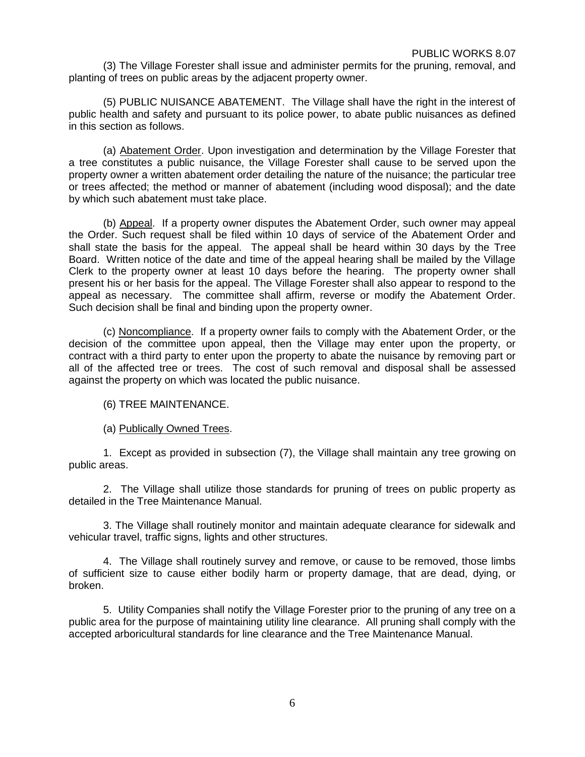(3) The Village Forester shall issue and administer permits for the pruning, removal, and planting of trees on public areas by the adjacent property owner.

(5) PUBLIC NUISANCE ABATEMENT. The Village shall have the right in the interest of public health and safety and pursuant to its police power, to abate public nuisances as defined in this section as follows.

(a) Abatement Order. Upon investigation and determination by the Village Forester that a tree constitutes a public nuisance, the Village Forester shall cause to be served upon the property owner a written abatement order detailing the nature of the nuisance; the particular tree or trees affected; the method or manner of abatement (including wood disposal); and the date by which such abatement must take place.

(b) Appeal. If a property owner disputes the Abatement Order, such owner may appeal the Order. Such request shall be filed within 10 days of service of the Abatement Order and shall state the basis for the appeal. The appeal shall be heard within 30 days by the Tree Board. Written notice of the date and time of the appeal hearing shall be mailed by the Village Clerk to the property owner at least 10 days before the hearing. The property owner shall present his or her basis for the appeal. The Village Forester shall also appear to respond to the appeal as necessary. The committee shall affirm, reverse or modify the Abatement Order. Such decision shall be final and binding upon the property owner.

(c) Noncompliance. If a property owner fails to comply with the Abatement Order, or the decision of the committee upon appeal, then the Village may enter upon the property, or contract with a third party to enter upon the property to abate the nuisance by removing part or all of the affected tree or trees. The cost of such removal and disposal shall be assessed against the property on which was located the public nuisance.

(6) TREE MAINTENANCE.

(a) Publically Owned Trees.

1. Except as provided in subsection (7), the Village shall maintain any tree growing on public areas.

2. The Village shall utilize those standards for pruning of trees on public property as detailed in the Tree Maintenance Manual.

3. The Village shall routinely monitor and maintain adequate clearance for sidewalk and vehicular travel, traffic signs, lights and other structures.

4. The Village shall routinely survey and remove, or cause to be removed, those limbs of sufficient size to cause either bodily harm or property damage, that are dead, dying, or broken.

5. Utility Companies shall notify the Village Forester prior to the pruning of any tree on a public area for the purpose of maintaining utility line clearance. All pruning shall comply with the accepted arboricultural standards for line clearance and the Tree Maintenance Manual.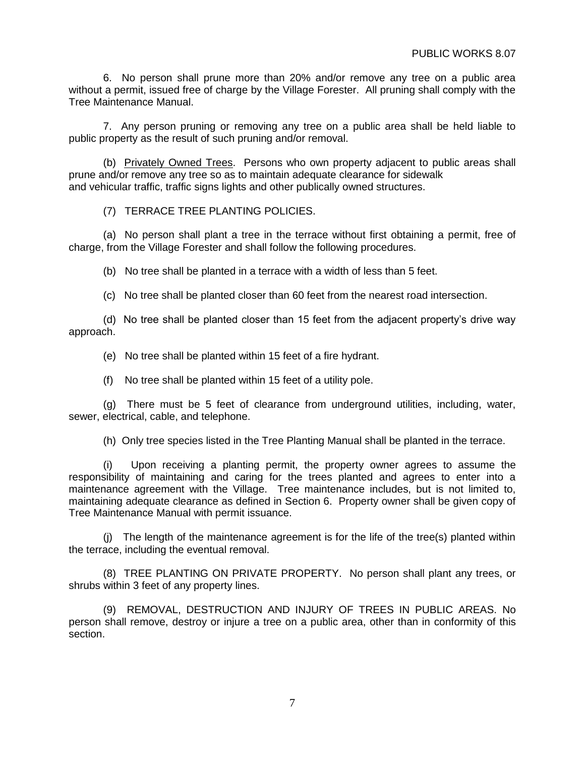6. No person shall prune more than 20% and/or remove any tree on a public area without a permit, issued free of charge by the Village Forester. All pruning shall comply with the Tree Maintenance Manual.

7. Any person pruning or removing any tree on a public area shall be held liable to public property as the result of such pruning and/or removal.

(b) Privately Owned Trees. Persons who own property adjacent to public areas shall prune and/or remove any tree so as to maintain adequate clearance for sidewalk and vehicular traffic, traffic signs lights and other publically owned structures.

(7) TERRACE TREE PLANTING POLICIES.

(a) No person shall plant a tree in the terrace without first obtaining a permit, free of charge, from the Village Forester and shall follow the following procedures.

(b) No tree shall be planted in a terrace with a width of less than 5 feet.

(c) No tree shall be planted closer than 60 feet from the nearest road intersection.

(d) No tree shall be planted closer than 15 feet from the adjacent property's drive way approach.

(e) No tree shall be planted within 15 feet of a fire hydrant.

(f) No tree shall be planted within 15 feet of a utility pole.

(g) There must be 5 feet of clearance from underground utilities, including, water, sewer, electrical, cable, and telephone.

(h) Only tree species listed in the Tree Planting Manual shall be planted in the terrace.

(i) Upon receiving a planting permit, the property owner agrees to assume the responsibility of maintaining and caring for the trees planted and agrees to enter into a maintenance agreement with the Village. Tree maintenance includes, but is not limited to, maintaining adequate clearance as defined in Section 6. Property owner shall be given copy of Tree Maintenance Manual with permit issuance.

(j) The length of the maintenance agreement is for the life of the tree(s) planted within the terrace, including the eventual removal.

(8) TREE PLANTING ON PRIVATE PROPERTY. No person shall plant any trees, or shrubs within 3 feet of any property lines.

(9) REMOVAL, DESTRUCTION AND INJURY OF TREES IN PUBLIC AREAS. No person shall remove, destroy or injure a tree on a public area, other than in conformity of this section.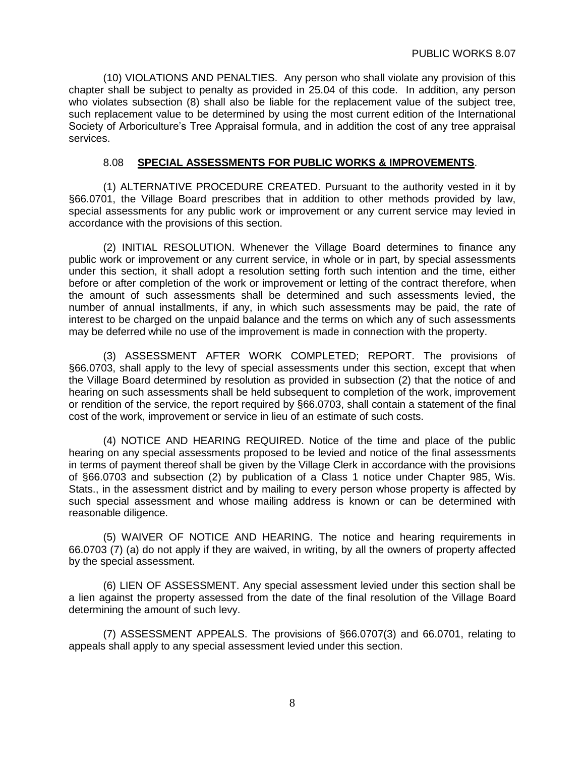(10) VIOLATIONS AND PENALTIES. Any person who shall violate any provision of this chapter shall be subject to penalty as provided in 25.04 of this code. In addition, any person who violates subsection (8) shall also be liable for the replacement value of the subject tree, such replacement value to be determined by using the most current edition of the International Society of Arboriculture's Tree Appraisal formula, and in addition the cost of any tree appraisal services.

# 8.08 **SPECIAL ASSESSMENTS FOR PUBLIC WORKS & IMPROVEMENTS**.

(1) ALTERNATIVE PROCEDURE CREATED. Pursuant to the authority vested in it by §66.0701, the Village Board prescribes that in addition to other methods provided by law, special assessments for any public work or improvement or any current service may levied in accordance with the provisions of this section.

(2) INITIAL RESOLUTION. Whenever the Village Board determines to finance any public work or improvement or any current service, in whole or in part, by special assessments under this section, it shall adopt a resolution setting forth such intention and the time, either before or after completion of the work or improvement or letting of the contract therefore, when the amount of such assessments shall be determined and such assessments levied, the number of annual installments, if any, in which such assessments may be paid, the rate of interest to be charged on the unpaid balance and the terms on which any of such assessments may be deferred while no use of the improvement is made in connection with the property.

(3) ASSESSMENT AFTER WORK COMPLETED; REPORT. The provisions of §66.0703, shall apply to the levy of special assessments under this section, except that when the Village Board determined by resolution as provided in subsection (2) that the notice of and hearing on such assessments shall be held subsequent to completion of the work, improvement or rendition of the service, the report required by §66.0703, shall contain a statement of the final cost of the work, improvement or service in lieu of an estimate of such costs.

(4) NOTICE AND HEARING REQUIRED. Notice of the time and place of the public hearing on any special assessments proposed to be levied and notice of the final assessments in terms of payment thereof shall be given by the Village Clerk in accordance with the provisions of §66.0703 and subsection (2) by publication of a Class 1 notice under Chapter 985, Wis. Stats., in the assessment district and by mailing to every person whose property is affected by such special assessment and whose mailing address is known or can be determined with reasonable diligence.

(5) WAIVER OF NOTICE AND HEARING. The notice and hearing requirements in 66.0703 (7) (a) do not apply if they are waived, in writing, by all the owners of property affected by the special assessment.

(6) LIEN OF ASSESSMENT. Any special assessment levied under this section shall be a lien against the property assessed from the date of the final resolution of the Village Board determining the amount of such levy.

(7) ASSESSMENT APPEALS. The provisions of §66.0707(3) and 66.0701, relating to appeals shall apply to any special assessment levied under this section.